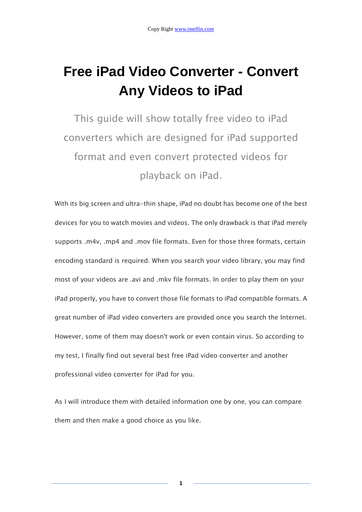# **Free iPad Video Converter - Convert Any Videos to iPad**

This guide will show totally free video to iPad converters which are designed for iPad supported format and even convert protected videos for playback on iPad.

With its big screen and ultra-thin shape, iPad no doubt has become one of the best devices for you to watch movies and videos. The only drawback is that iPad merely supports .m4v, .mp4 and .mov file formats. Even for those three formats, certain encoding standard is required. When you search your video library, you may find most of your videos are .avi and .mkv file formats. In order to play them on your iPad properly, you have to convert those file formats to iPad compatible formats. A great number of iPad video converters are provided once you search the Internet. However, some of them may doesn't work or even contain virus. So according to my test, I finally find out several best free iPad video converter and another professional video converter for iPad for you.

As I will introduce them with detailed information one by one, you can compare them and then make a good choice as you like.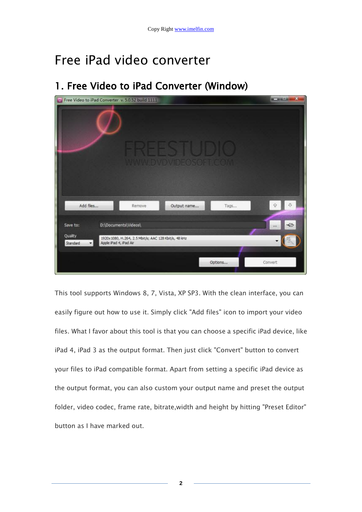# Free iPad video converter

## 1. Free Video to iPad Converter (Window)



This tool supports Windows 8, 7, Vista, XP SP3. With the clean interface, you can easily figure out how to use it. Simply click "Add files" icon to import your video files. What I favor about this tool is that you can choose a specific iPad device, like iPad 4, iPad 3 as the output format. Then just click "Convert" button to convert your files to iPad compatible format. Apart from setting a specific iPad device as the output format, you can also custom your output name and preset the output folder, video codec, frame rate, bitrate,width and height by hitting "Preset Editor" button as I have marked out.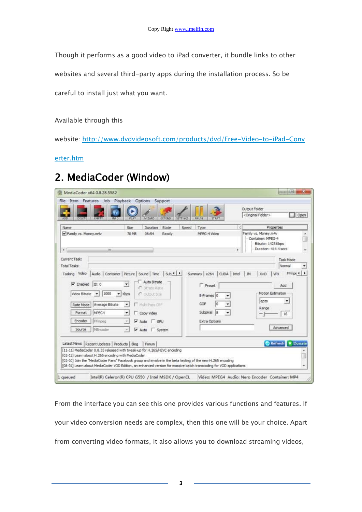Though it performs as a good video to iPad converter, it bundle links to other

websites and several third-party apps during the installation process. So be

careful to install just what you want.

Available through this

website: [http://www.dvdvideosoft.com/products/dvd/Free-Video-to-iPad-Conv](http://www.dvdvideosoft.com/products/dvd/Free-Video-to-iPad-Converter.htm)

[erter.htm](http://www.dvdvideosoft.com/products/dvd/Free-Video-to-iPad-Converter.htm)

## 2. MediaCoder (Window)

|                                                                                                                                                                    |                              |                                            |                          |                            | <b>Output Folder</b> |                                                                 |      |
|--------------------------------------------------------------------------------------------------------------------------------------------------------------------|------------------------------|--------------------------------------------|--------------------------|----------------------------|----------------------|-----------------------------------------------------------------|------|
| <b>ADD</b><br>DELETE<br>EMPT                                                                                                                                       | <b>INFO</b><br>PLAY          | WIZARD<br>EXTEND                           | PAUSE<br><b>SETTINGS</b> | <b>START</b>               |                      | <original folder=""></original>                                 | Open |
| Name                                                                                                                                                               | Size                         | Duration<br>State                          | Speed<br>Type            |                            |                      | Properties                                                      |      |
| Family vs. Money.m4v                                                                                                                                               | 70 MB                        | 06:54<br>Ready                             |                          | MPEG-4 Video               |                      | Family vs. Money.m4v<br>Container: MPEG-4<br>Bitrate: 1423 Kbps |      |
| $\epsilon$                                                                                                                                                         | 批                            |                                            |                          |                            | s.                   | Duration: 414.4 secs                                            |      |
| Current Task:                                                                                                                                                      |                              |                                            |                          |                            |                      | Task Mode                                                       |      |
| Total Tasks:                                                                                                                                                       |                              |                                            |                          |                            |                      | Normal                                                          |      |
| Tasking Video                                                                                                                                                      |                              | Audio Container Picture Sound Time Sub 1 P |                          | Summary x264 CUDA Intel JM |                      | FFmpt 4   ><br><b>XviD</b><br><b>VPX</b>                        |      |
|                                                                                                                                                                    |                              |                                            |                          |                            |                      |                                                                 |      |
|                                                                                                                                                                    |                              |                                            |                          |                            |                      |                                                                 |      |
| $\triangledown$ Enabled<br>ID: 0                                                                                                                                   | ٠                            | Auto Bitrate<br>$C$ Birate Ratio           |                          | <b>Preset</b>              |                      | Add                                                             |      |
| 1000<br>Video Bitrate<br>$\ddot{}$                                                                                                                                 | $\blacktriangleright$ Kbps   | C Outnit fize                              |                          | ۰                          |                      | Motion Estimation                                               |      |
|                                                                                                                                                                    |                              |                                            |                          | B-Frames 0                 |                      | epzs<br>۰                                                       |      |
| Average Bitrate<br>Rate Mode                                                                                                                                       | $\bullet$                    | Multi-Pass CRF                             | GOP.                     | o<br>٠                     |                      | Range                                                           |      |
| MPEG4<br>Format                                                                                                                                                    | $\bullet$                    | Copy Video                                 |                          | 8<br>Subpixel<br>٠         |                      | 16                                                              |      |
| Encoder<br><b>FFmpeg</b>                                                                                                                                           | $\mathcal{M}$                | $\nabla$ Auto $\Box$ GPU                   |                          | Extra Options              |                      |                                                                 |      |
| Source<br>MEncoder                                                                                                                                                 | $\sim$                       | Auto   System                              |                          |                            |                      | Advanced                                                        |      |
|                                                                                                                                                                    |                              |                                            |                          |                            |                      |                                                                 |      |
|                                                                                                                                                                    |                              | Forum                                      |                          |                            |                      | <b>D</b> Refresh * Donate                                       |      |
| Latest News<br>[11-11] MediaCoder 0.8.33 released with tweak-up for H.265/HEVC encoding                                                                            | Recent Updates Products Blog |                                            |                          |                            |                      |                                                                 |      |
| [02-12] Learn about H. 265 encoding with MediaCoder<br>[02-10] Join the "MediaCoder Fans" Facebook group and involve in the beta testing of the new H.265 encoding |                              |                                            |                          |                            |                      |                                                                 | U    |

From the interface you can see this one provides various functions and features. If your video conversion needs are complex, then this one will be your choice. Apart from converting video formats, it also allows you to download streaming videos,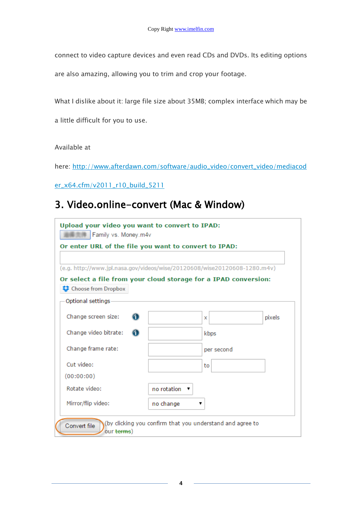connect to video capture devices and even read CDs and DVDs. Its editing options

are also amazing, allowing you to trim and crop your footage.

What I dislike about it: large file size about 35MB; complex interface which may be

a little difficult for you to use.

#### Available at

here: [http://www.afterdawn.com/software/audio\\_video/convert\\_video/mediacod](http://www.afterdawn.com/software/audio_video/convert_video/mediacoder_x64.cfm/v2011_r10_build_5211)

[er\\_x64.cfm/v2011\\_r10\\_build\\_5211](http://www.afterdawn.com/software/audio_video/convert_video/mediacoder_x64.cfm/v2011_r10_build_5211)

### 3. Video.online-convert (Mac & Window)

| Upload your video you want to convert to IPAD:<br>Family vs. Money.m4v                             |                  |            |        |  |  |  |  |  |  |
|----------------------------------------------------------------------------------------------------|------------------|------------|--------|--|--|--|--|--|--|
| Or enter URL of the file you want to convert to IPAD:                                              |                  |            |        |  |  |  |  |  |  |
|                                                                                                    |                  |            |        |  |  |  |  |  |  |
| (e.g. http://www.jpl.nasa.gov/videos/wise/20120608/wise20120608-1280.m4v)                          |                  |            |        |  |  |  |  |  |  |
| Or select a file from your cloud storage for a IPAD conversion:                                    |                  |            |        |  |  |  |  |  |  |
| Choose from Dropbox                                                                                |                  |            |        |  |  |  |  |  |  |
| Optional settings-                                                                                 |                  |            |        |  |  |  |  |  |  |
| Change screen size:<br>Œ                                                                           |                  | x          | pixels |  |  |  |  |  |  |
| Change video bitrate:<br>Œ                                                                         |                  | kbps       |        |  |  |  |  |  |  |
| Change frame rate:                                                                                 |                  | per second |        |  |  |  |  |  |  |
| Cut video:                                                                                         |                  | to         |        |  |  |  |  |  |  |
| (00:00:00)                                                                                         |                  |            |        |  |  |  |  |  |  |
| Rotate video:                                                                                      | no rotation<br>▼ |            |        |  |  |  |  |  |  |
| Mirror/flip video:                                                                                 | no change        | ▼          |        |  |  |  |  |  |  |
| by clicking you confirm that you understand and agree to<br>Convert file<br>our <del>terms</del> ) |                  |            |        |  |  |  |  |  |  |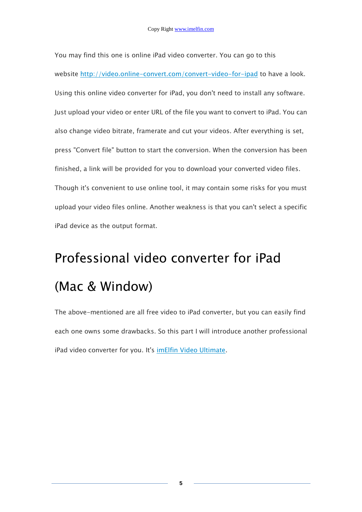You may find this one is online iPad video converter. You can go to this website <http://video.online-convert.com/convert-video-for-ipad> to have a look. Using this online video converter for iPad, you don't need to install any software. Just upload your video or enter URL of the file you want to convert to iPad. You can also change video bitrate, framerate and cut your videos. After everything is set, press "Convert file" button to start the conversion. When the conversion has been finished, a link will be provided for you to download your converted video files. Though it's convenient to use online tool, it may contain some risks for you must upload your video files online. Another weakness is that you can't select a specific iPad device as the output format.

# Professional video converter for iPad (Mac & Window)

The above-mentioned are all free video to iPad converter, but you can easily find each one owns some drawbacks. So this part I will introduce another professional iPad video converter for you. It's [imElfin Video Ultimate.](http://www.imelfin.com/video-ultimate.html)

**5**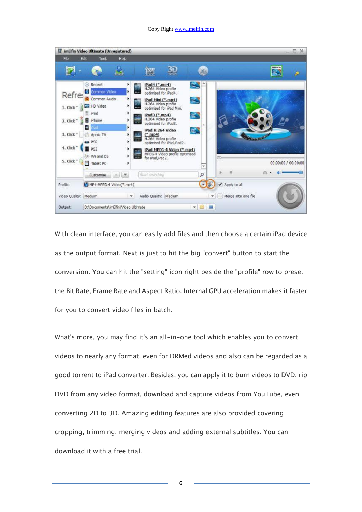#### Copy Right www.imelfin.com



With clean interface, you can easily add files and then choose a certain iPad device as the output format. Next is just to hit the big "convert" button to start the conversion. You can hit the "setting" icon right beside the "profile" row to preset the Bit Rate, Frame Rate and Aspect Ratio. Internal GPU acceleration makes it faster for you to convert video files in batch.

What's more, you may find it's an all-in-one tool which enables you to convert videos to nearly any format, even for DRMed videos and also can be regarded as a good torrent to iPad converter. Besides, you can apply it to burn videos to DVD, rip DVD from any video format, download and capture videos from YouTube, even converting 2D to 3D. Amazing editing features are also provided covering cropping, trimming, merging videos and adding external subtitles. You can download it with a free trial.